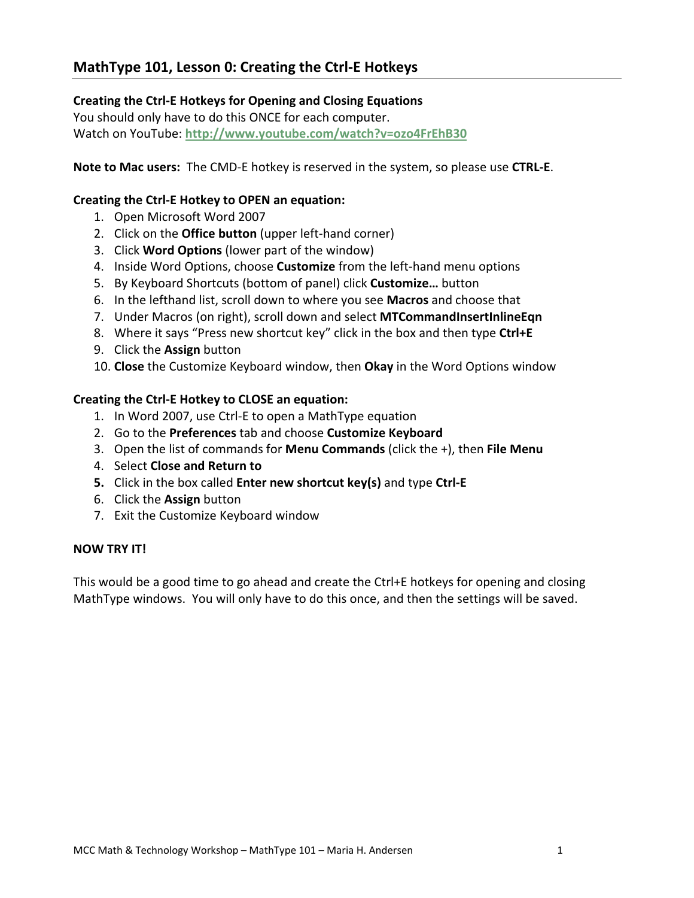# **MathType 101, Lesson 0: Creating the Ctrl‐E Hotkeys**

### **Creating the Ctrl‐E Hotkeys for Opening and Closing Equations**

You should only have to do this ONCE for each computer. Watch on YouTube: **http://www.youtube.com/watch?v=ozo4FrEhB30**

**Note to Mac users:** The CMD‐E hotkey is reserved in the system, so please use **CTRL‐E**.

### **Creating the Ctrl‐E Hotkey to OPEN an equation:**

- 1. Open Microsoft Word 2007
- 2. Click on the **Office button** (upper left‐hand corner)
- 3. Click **Word Options** (lower part of the window)
- 4. Inside Word Options, choose **Customize** from the left‐hand menu options
- 5. By Keyboard Shortcuts (bottom of panel) click **Customize…** button
- 6. In the lefthand list, scroll down to where you see **Macros** and choose that
- 7. Under Macros (on right), scroll down and select **MTCommandInsertInlineEqn**
- 8. Where it says "Press new shortcut key" click in the box and then type **Ctrl+E**
- 9. Click the **Assign** button
- 10. **Close** the Customize Keyboard window, then **Okay** in the Word Options window

#### **Creating the Ctrl‐E Hotkey to CLOSE an equation:**

- 1. In Word 2007, use Ctrl‐E to open a MathType equation
- 2. Go to the **Preferences** tab and choose **Customize Keyboard**
- 3. Open the list of commands for **Menu Commands** (click the +), then **File Menu**
- 4. Select **Close and Return to**
- **5.** Click in the box called **Enter new shortcut key(s)** and type **Ctrl‐E**
- 6. Click the **Assign** button
- 7. Exit the Customize Keyboard window

#### **NOW TRY IT!**

This would be a good time to go ahead and create the Ctrl+E hotkeys for opening and closing MathType windows. You will only have to do this once, and then the settings will be saved.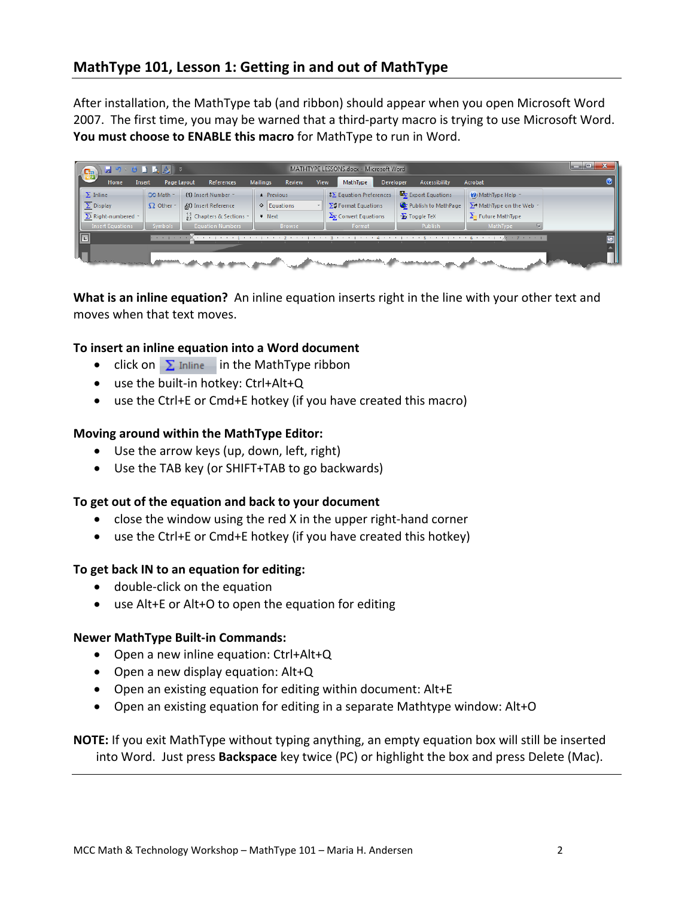After installation, the MathType tab (and ribbon) should appear when you open Microsoft Word 2007. The first time, you may be warned that a third‐party macro is trying to use Microsoft Word. **You must choose to ENABLE this macro** for MathType to run in Word.

|    | $\begin{array}{ c c c c c }\hline \textbf{H} & \textbf{P} & \textbf{Q} & \textbf{Q} & \textbf{Q} & \textbf{P} \end{array}$<br>$\mathbf{e}$ |                         |                                              |                        |             | MATHTYPE LESSONS.docx - Microsoft Word |                      | الماردة                           |  |
|----|--------------------------------------------------------------------------------------------------------------------------------------------|-------------------------|----------------------------------------------|------------------------|-------------|----------------------------------------|----------------------|-----------------------------------|--|
|    | Home<br>Insert                                                                                                                             | Page Layout             | References                                   | Mailings<br>Review     | <b>View</b> | MathType<br>Developer                  | Accessibility        | Acrobat                           |  |
|    | $\sum$ Inline                                                                                                                              | CO Math -               | (1) Insert Number *                          | $\triangle$ Previous   |             | $\sqrt{2}$ Equation Preferences        | Export Equations     | O MathType Help *                 |  |
|    | $\overline{\Sigma}$ Display                                                                                                                | $\Omega$ Other -        | <i>ff</i> ) Insert Reference                 | $\circ$ Equations      |             | $\Sigma$ : Format Equations            | Publish to MathPage  | $\sum$ MathType on the Web $\sim$ |  |
|    | $\Sigma$ <sup>1</sup> Right-numbered $*$                                                                                                   |                         | $\frac{11}{24}$ Chapters & Sections $\infty$ | $\overline{\ast}$ Next |             | $\Sigma_{\Sigma}$ Convert Equations    | <b>Ex</b> Toggle TeX | $\sum$ Future MathType            |  |
|    | <b>Insert Equations</b>                                                                                                                    | <b>Symbols</b>          | <b>Equation Numbers</b>                      | <b>Browse</b>          |             | Format                                 | Publish              | <b>MathType</b>                   |  |
|    | $\begin{array}{ c c } \hline \textbf{L} & \textbf{L} \\ \hline \textbf{L} & \textbf{L} \\ \hline \end{array}$                              | the company's company's | <b>Contract Contract Contract</b>            |                        |             |                                        |                      | 1.7.1.1                           |  |
|    |                                                                                                                                            |                         |                                              |                        |             |                                        |                      |                                   |  |
| Lı | the control of the more control of the                                                                                                     |                         |                                              |                        |             |                                        |                      |                                   |  |

**What is an inline equation?** An inline equation inserts right in the line with your other text and moves when that text moves.

### **To insert an inline equation into a Word document**

- click on  $\Sigma$  Inline in the MathType ribbon
- use the built‐in hotkey: Ctrl+Alt+Q
- use the Ctrl+E or Cmd+E hotkey (if you have created this macro)

#### **Moving around within the MathType Editor:**

- Use the arrow keys (up, down, left, right)
- Use the TAB key (or SHIFT+TAB to go backwards)

#### **To get out of the equation and back to your document**

- close the window using the red X in the upper right‐hand corner
- use the Ctrl+E or Cmd+E hotkey (if you have created this hotkey)

#### **To get back IN to an equation for editing:**

- double‐click on the equation
- use Alt+E or Alt+O to open the equation for editing

#### **Newer MathType Built‐in Commands:**

- Open a new inline equation: Ctrl+Alt+Q
- Open a new display equation: Alt+Q
- Open an existing equation for editing within document: Alt+E
- Open an existing equation for editing in a separate Mathtype window: Alt+O

**NOTE:** If you exit MathType without typing anything, an empty equation box will still be inserted into Word. Just press **Backspace** key twice (PC) or highlight the box and press Delete (Mac).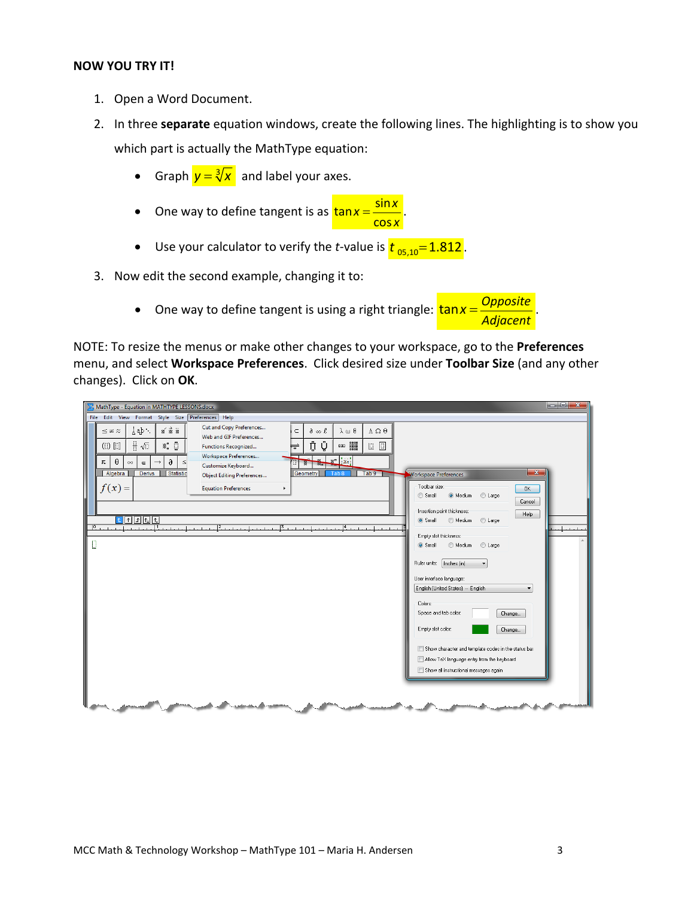#### **NOW YOU TRY IT!**

- 1. Open a Word Document.
- 2. In three **separate** equation windows, create the following lines. The highlighting is to show you which part is actually the MathType equation:
	- Graph  $y = \sqrt[3]{x}$  and label your axes.
	- One way to define tangent is as  $\frac{\tan x}{\tan x} = \frac{\sin x}{\tan x}$ cos  $x = \frac{\sin x}{\cos x}$ .
	- Use your calculator to verify the *t*-value is  $t_{.05,10}=1.812$
- 3. Now edit the second example, changing it to:
	- One way to define tangent is using a right triangle:  $\tan x = \frac{Opposite}{\sqrt{x}}$ . *Adjacent*

NOTE: To resize the menus or make other changes to your workspace, go to the **Preferences** menu, and select **Workspace Preferences**. Click desired size under **Toolbar Size** (and any other changes). Click on **OK**.

| MathType - Equation in MATHTYPE LESSONS.docx                                                                                                                                                                                                                                                                                                                                                                                                                                                                                                                                                                                                                                                                                                                                                                                                                                                                                                                                                                                                                                                                                                                                                                                                                                                                                                                                                                                                 | $\begin{array}{c c c c} \hline \multicolumn{1}{c }{-} & \multicolumn{1}{c }{-} \end{array} \hspace{1.2cm} \begin{array}{c c c c} \multicolumn{1}{c }{-} & \multicolumn{1}{c }{-} \end{array} \hspace{1.2cm} \begin{array}{c c c c} \multicolumn{1}{c }{-} & \multicolumn{1}{c }{-} \end{array} \hspace{1.2cm} \begin{array}{c c c c} \multicolumn{1}{c }{-} & \multicolumn{1}{c }{-} \end{array} \hspace{1.2cm} \begin{array}{c c $                                                                                                         |
|----------------------------------------------------------------------------------------------------------------------------------------------------------------------------------------------------------------------------------------------------------------------------------------------------------------------------------------------------------------------------------------------------------------------------------------------------------------------------------------------------------------------------------------------------------------------------------------------------------------------------------------------------------------------------------------------------------------------------------------------------------------------------------------------------------------------------------------------------------------------------------------------------------------------------------------------------------------------------------------------------------------------------------------------------------------------------------------------------------------------------------------------------------------------------------------------------------------------------------------------------------------------------------------------------------------------------------------------------------------------------------------------------------------------------------------------|---------------------------------------------------------------------------------------------------------------------------------------------------------------------------------------------------------------------------------------------------------------------------------------------------------------------------------------------------------------------------------------------------------------------------------------------------------------------------------------------------------------------------------------------|
| File Edit View Format Style Size Preferences Help                                                                                                                                                                                                                                                                                                                                                                                                                                                                                                                                                                                                                                                                                                                                                                                                                                                                                                                                                                                                                                                                                                                                                                                                                                                                                                                                                                                            |                                                                                                                                                                                                                                                                                                                                                                                                                                                                                                                                             |
| Cut and Copy Preferences<br>$\mathbb{R}$ $\mathbb{R}$ $\mathbb{R}$<br>¦ab∵.<br>λωθ<br>$A \Omega \Theta$<br>$\partial \infty$<br>$\leq$ $\boldsymbol{z}$ $\boldsymbol{\approx}$<br>$\subset$<br>Web and GIF Preferences<br>$\frac{\Box}{\Box}$<br>$\mathbb{I}$ . $\mathbb{I}$<br>ប៉ូ ប៉ូ<br>appe design<br>$\qquad \qquad \text{(I)} \qquad \qquad \text{(I)}$<br>$\begin{array}{c} \boxed{\Box} \end{array}$<br><b>Functions Recognized</b><br>Ħ<br>Workspace Preferences<br>$\mathbb{R}$ : $\ddot{x}$ :<br>$\theta$<br>$\partial$<br>π<br>$\rightarrow$<br>$\leq$<br>$\infty$<br>$\in$<br><b>Ma</b><br>Customize Keyboard<br>Tab <sub>9</sub><br><b>Derivs</b><br><b>Statistic</b><br>Algebra<br>Geometry<br>Tab <sub>8</sub><br><b>Object Editing Preferences</b><br>$f(x) =$<br><b>Equation Preferences</b><br>$\blacktriangleright$<br>$\begin{array}{ c c c c c }\hline \textbf{1} & \textbf{1} & \textbf{1} & \textbf{1} & \textbf{1} \\ \hline \textbf{2} & \textbf{1} & \textbf{1} & \textbf{1} & \textbf{1} & \textbf{1} & \textbf{1} \\ \hline \textbf{3} & \textbf{1} & \textbf{2} & \textbf{3} & \textbf{1} & \textbf{1} & \textbf{1} & \textbf{1} \\ \hline \textbf{4} & \textbf{1} & \textbf{3} & \textbf{1} & \textbf{1} & \textbf{1} & \textbf{1} & \textbf$<br>Para a cardiaceae a U<br>وينادرون المتوجلات والكالمرور والمتوجل وتوجيه<br>$\frac{15}{2}$ , and a set on a more $\frac{14}{2}$ ,<br>and a collected at a<br>D | $\mathbf{x}$<br><b>Workspace Preferences</b><br>Toolbar size:<br>OK.<br>O Medium<br>C Large<br>Small<br>Cancel<br>Insertion point thickness:<br>Help<br>Small<br>Medium<br>C Large<br><b>Langela</b><br>Empty slot thickness:<br>Medium<br>C Large<br>Small<br>Ruler units: [Inches (in)<br>User interface language:<br>English (United States) -- English<br>Colors:<br>Space and tab color:<br>Change<br>Empty slot color:<br>Change<br>Show character and template codes in the status bar<br>Allow TeX language entry from the keyboard |
|                                                                                                                                                                                                                                                                                                                                                                                                                                                                                                                                                                                                                                                                                                                                                                                                                                                                                                                                                                                                                                                                                                                                                                                                                                                                                                                                                                                                                                              | Show all instructional messages again                                                                                                                                                                                                                                                                                                                                                                                                                                                                                                       |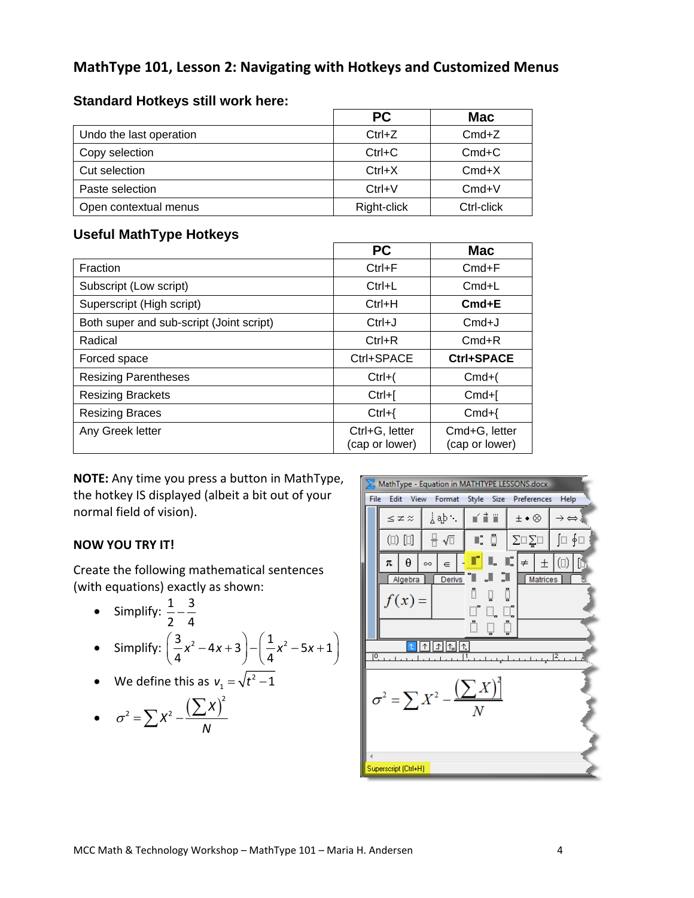# **MathType 101, Lesson 2: Navigating with Hotkeys and Customized Menus**

|                         | <b>PC</b>   | <b>Mac</b> |
|-------------------------|-------------|------------|
| Undo the last operation | $Ctrl+Z$    | $Cmd+Z$    |
| Copy selection          | $Ctrl+C$    | $Cmd+C$    |
| Cut selection           | $Ctrl+X$    | $Cmd+X$    |
| Paste selection         | $Ctrl + V$  | $Cmd+V$    |
| Open contextual menus   | Right-click | Ctrl-click |

### **Standard Hotkeys still work here:**

### **Useful MathType Hotkeys**

|                                          | <b>PC</b>                        | Mac                             |
|------------------------------------------|----------------------------------|---------------------------------|
| Fraction                                 | $Ctrl + F$                       | $Cmd + F$                       |
| Subscript (Low script)                   | $Ctrl+L$                         | $Cmd+L$                         |
| Superscript (High script)                | $Ctrl+H$                         | $Cmd + E$                       |
| Both super and sub-script (Joint script) | $Ctrl+J$                         | $Cmd+J$                         |
| Radical                                  | $Ctrl + R$                       | $Cmd+R$                         |
| Forced space                             | Ctrl+SPACE                       | Ctrl+SPACE                      |
| <b>Resizing Parentheses</b>              | $Ctrl+$                          | $Cmd+($                         |
| <b>Resizing Brackets</b>                 | $Ctrl + $                        | $Cmd+$                          |
| <b>Resizing Braces</b>                   | $Ctrl+$                          | $Cmd+$                          |
| Any Greek letter                         | Ctrl+G, letter<br>(cap or lower) | Cmd+G, letter<br>(cap or lower) |

**NOTE:** Any time you press a button in MathType, the hotkey IS displayed (albeit a bit out of your normal field of vision).

### **NOW YOU TRY IT!**

Create the following mathematical sentences (with equations) exactly as shown:

• Simplify: 
$$
\frac{1}{2} - \frac{3}{4}
$$
  
\n• Simplify:  $\left(\frac{3}{4}x^2 - 4x + 3\right) - \left(\frac{1}{4}x^2 - 5x + 1\right)$ 

• We define this as  $v_1 = \sqrt{t^2 - 1}$ 

• 
$$
\sigma^2 = \sum X^2 - \frac{\left(\sum X\right)^2}{N}
$$

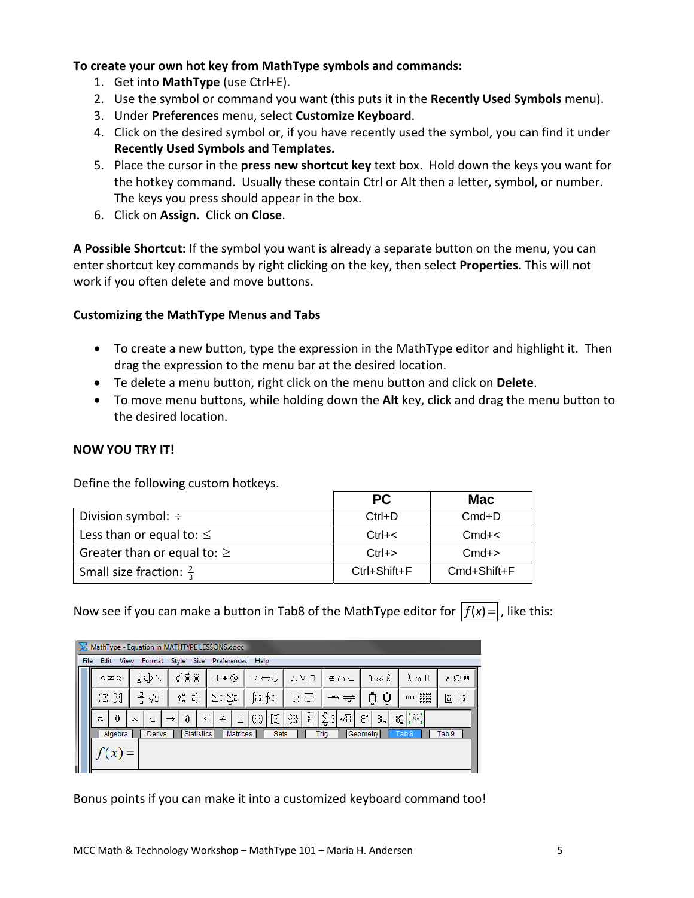### **To create your own hot key from MathType symbols and commands:**

- 1. Get into **MathType** (use Ctrl+E).
- 2. Use the symbol or command you want (this puts it in the **Recently Used Symbols** menu).
- 3. Under **Preferences** menu, select **Customize Keyboard**.
- 4. Click on the desired symbol or, if you have recently used the symbol, you can find it under **Recently Used Symbols and Templates.**
- 5. Place the cursor in the **press new shortcut key** text box. Hold down the keys you want for the hotkey command. Usually these contain Ctrl or Alt then a letter, symbol, or number. The keys you press should appear in the box.
- 6. Click on **Assign**. Click on **Close**.

**A Possible Shortcut:** If the symbol you want is already a separate button on the menu, you can enter shortcut key commands by right clicking on the key, then select **Properties.** This will not work if you often delete and move buttons.

### **Customizing the MathType Menus and Tabs**

- To create a new button, type the expression in the MathType editor and highlight it. Then drag the expression to the menu bar at the desired location.
- Te delete a menu button, right click on the menu button and click on **Delete**.
- To move menu buttons, while holding down the **Alt** key, click and drag the menu button to the desired location.

### **NOW YOU TRY IT!**

Define the following custom hotkeys.

|                                    | <b>PC</b>          | <b>Mac</b>  |
|------------------------------------|--------------------|-------------|
| Division symbol: $\div$            | $Ctrl + D$         | $Cmd+D$     |
| Less than or equal to: $\leq$      | $Ctrl + <$         | $Cmd+<$     |
| Greater than or equal to: $\geq$   | $Ctrl \rightarrow$ | $Cmd+>$     |
| Small size fraction: $\frac{2}{3}$ | Ctrl+Shift+F       | Cmd+Shift+F |

Now see if you can make a button in Tab8 of the MathType editor for  $|f(x)=|$ , like this:

|   | MathType - Equation in MATHTYPE LESSONS.docx                            |                         |          |               |               |            |                                         |                       |                                                               |                                              |                                                |        |                     |          |                       |                |                        |    |                    |                   |
|---|-------------------------------------------------------------------------|-------------------------|----------|---------------|---------------|------------|-----------------------------------------|-----------------------|---------------------------------------------------------------|----------------------------------------------|------------------------------------------------|--------|---------------------|----------|-----------------------|----------------|------------------------|----|--------------------|-------------------|
|   | File<br>Style Size Preferences<br>Edit<br><b>View</b><br>Help<br>Format |                         |          |               |               |            |                                         |                       |                                                               |                                              |                                                |        |                     |          |                       |                |                        |    |                    |                   |
|   |                                                                         | $\leq$ $\neq$ $\approx$ |          | , dβ          |               | xi i       |                                         | $\pm \bullet \otimes$ |                                                               | $\rightarrow$ $\leftrightarrow$ $\downarrow$ |                                                |        | 上半日                 |          | $\notin \cap \subset$ |                | $\partial \infty \ell$ |    | λωθ                | $A \Omega \Theta$ |
|   |                                                                         | $(1)$ $[1]$             | 퓨        | $\sqrt{2}$    | D<br>▒ ៝      |            | ∳⊟<br>Œ<br>$\Sigma\square\Sigma\square$ |                       | $\overrightarrow{C}$<br>豆<br>$\rightarrow$ $\rightleftarrows$ |                                              |                                                | ņ<br>Ų |                     | 鼺<br>000 | $\Box$<br>$\Box$      |                |                        |    |                    |                   |
|   | π                                                                       | $\theta$                | $\infty$ | $\in$         | $\rightarrow$ | $\partial$ | $\leq$                                  | $\neq$                | 土                                                             | $\left( \Box \right)$                        | $\begin{bmatrix} 1 & 1 \\ 1 & 1 \end{bmatrix}$ | 4      | $\frac{\Box}{\Box}$ | Σٍื้⊔ิ   | $\sqrt{\square}$      | $\mathbb{R}^n$ | L.                     | Ű. | $\overline{X}$ e : |                   |
|   |                                                                         | Algebra                 |          | <b>Derivs</b> |               |            | Statistics                              |                       | Matrices                                                      |                                              | <b>Sets</b>                                    |        |                     | Tria     |                       | Geometry       |                        |    | Tab <sub>8</sub>   | Tab <sub>9</sub>  |
| ł |                                                                         |                         |          |               |               |            |                                         |                       |                                                               |                                              |                                                |        |                     |          |                       |                |                        |    |                    |                   |

Bonus points if you can make it into a customized keyboard command too!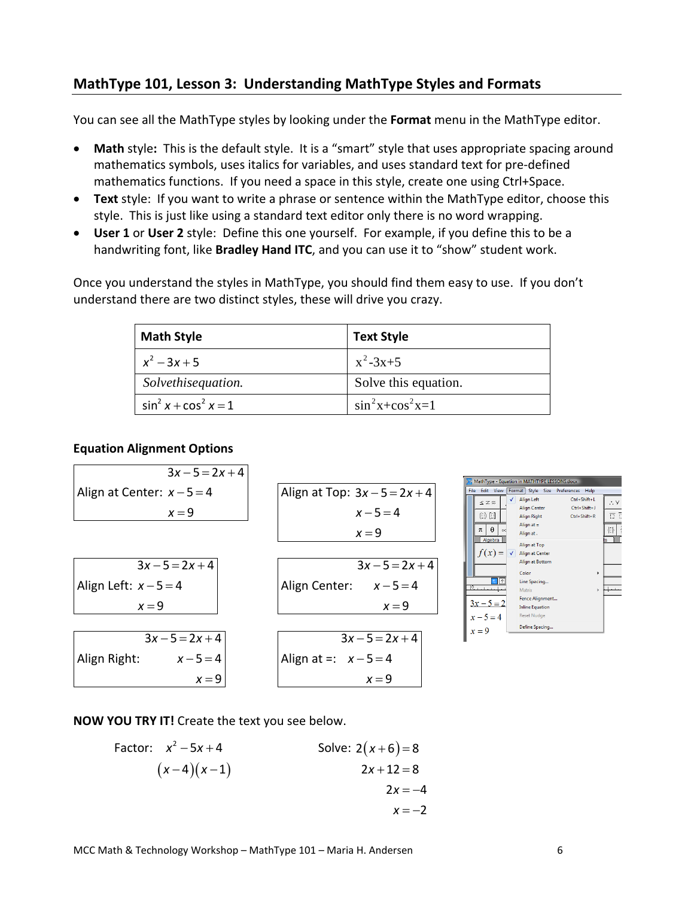# **MathType 101, Lesson 3: Understanding MathType Styles and Formats**

You can see all the MathType styles by looking under the **Format** menu in the MathType editor.

- **Math** style**:** This is the default style. It is a "smart" style that uses appropriate spacing around mathematics symbols, uses italics for variables, and uses standard text for pre‐defined mathematics functions. If you need a space in this style, create one using Ctrl+Space.
- Text style: If you want to write a phrase or sentence within the MathType editor, choose this style. This is just like using a standard text editor only there is no word wrapping.
- **User 1** or **User 2** style: Define this one yourself. For example, if you define this to be a handwriting font, like **Bradley Hand ITC**, and you can use it to "show" student work.

Once you understand the styles in MathType, you should find them easy to use. If you don't understand there are two distinct styles, these will drive you crazy.

| <b>Math Style</b>         | <b>Text Style</b>         |
|---------------------------|---------------------------|
| $x^2-3x+5$                | $x^2-3x+5$                |
| Solvethisequation.        | Solve this equation.      |
| $\sin^2 x + \cos^2 x = 1$ | $\sin^2 x + \cos^2 x = 1$ |

#### **Equation Alignment Options**

| 3x - 5 = 2x + 4              |                                 |
|------------------------------|---------------------------------|
| align at Center: $x - 5 = 4$ | align at Top: $3x - 5 = 2x + 4$ |
| $x = 9$                      | $x = 9$                         |
| align Left: $x - 5 = 4$      | align Center: $x - 5 = 4$       |
| $x = 9$                      | align Center: $x - 5 = 4$       |
| $x = 9$                      | $x = 9$                         |
| $3x - 5 = 2x + 4$            | align Center: $x - 5 = 4$       |
| $x = 9$                      | $x = 9$                         |
| align Right: $x - 5 = 4$     | align at =: $x - 5 = 4$         |
| $x = 9$                      | $x = 9$                         |

| MathType - Equation in MATHTYPE LESSONS.docx |                                                                                               |                                                                                                                                                                                                                |                    |  |  |  |  |  |  |
|----------------------------------------------|-----------------------------------------------------------------------------------------------|----------------------------------------------------------------------------------------------------------------------------------------------------------------------------------------------------------------|--------------------|--|--|--|--|--|--|
| File                                         | Edit<br>View                                                                                  | Format<br>Style<br>Size<br>Preferences<br>Help                                                                                                                                                                 |                    |  |  |  |  |  |  |
|                                              | $\leq$ $\approx$ $\approx$<br>$\mathbb{D} \mathbb{D}$<br>θ<br>π<br>od.<br>Algebra<br>$f(x) =$ | Ctrl+Shift+L<br><b>Align Left</b><br>Ctrl+Shift+J<br><b>Align Center</b><br>$Ctrl + Shift + R$<br><b>Align Right</b><br>Align at $=$<br>Align at.<br>Align at Top<br>Align at Center<br><b>Align at Bottom</b> | ∴∀<br>π<br>Г<br>41 |  |  |  |  |  |  |
|                                              | $\mathbb{P}_{n+1}$<br>$3x - 5 = 2$<br>$x - 5 = 4$<br>$x = 9$                                  | Color<br>Line Spacing<br>Matrix<br>Fence Alignment<br><b>Inline Equation</b><br><b>Reset Nudge</b><br>Define Spacing                                                                                           | Þ                  |  |  |  |  |  |  |

**NOW YOU TRY IT!** Create the text you see below.

Factor: 
$$
x^2 - 5x + 4
$$
  
\n $(x-4)(x-1)$   
\nSolve:  $2(x+6) = 8$   
\n $2x + 12 = 8$   
\n $2x = -4$   
\n $x = -2$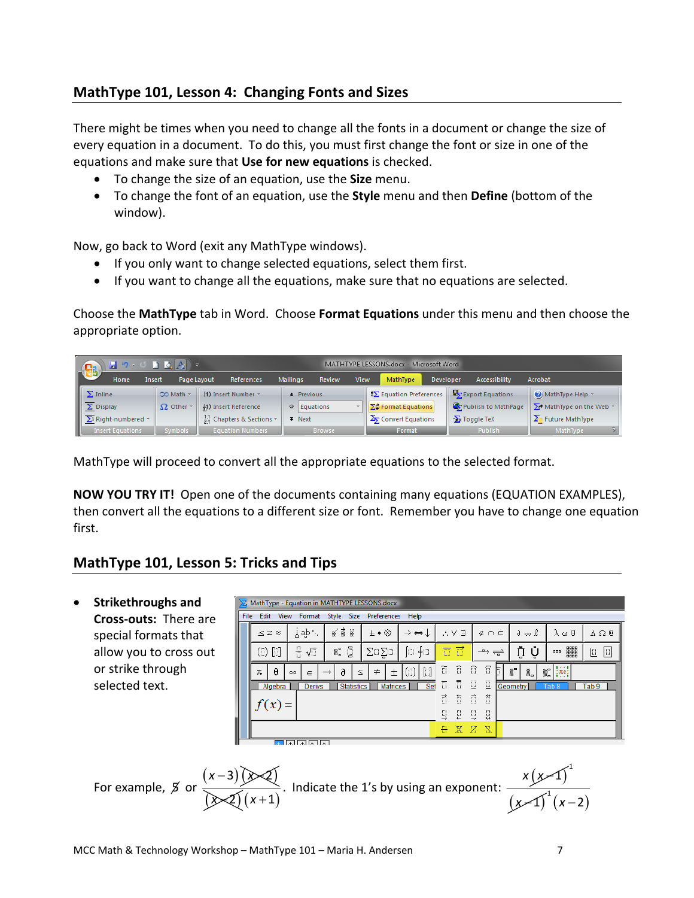# **MathType 101, Lesson 4: Changing Fonts and Sizes**

There might be times when you need to change all the fonts in a document or change the size of every equation in a document. To do this, you must first change the font or size in one of the equations and make sure that **Use for new equations** is checked.

- To change the size of an equation, use the **Size** menu.
- To change the font of an equation, use the **Style** menu and then **Define** (bottom of the window).

Now, go back to Word (exit any MathType windows).

- If you only want to change selected equations, select them first.
- If you want to change all the equations, make sure that no equations are selected.

Choose the **MathType** tab in Word. Choose **Format Equations** under this menu and then choose the appropriate option.

| Ca                              |                                                                                                                                                                                                                                                                                                                                                    | $\begin{array}{c} \mathfrak{p} \rightarrow \mathfrak{p} \quad \mathbf{p} \quad \mathbf{p} \quad \mathbf{p} \end{array}$ |                         |                          | MATHTYPE LESSONS.docx - Microsoft Word |                        |             |                                 |                                         |                  |                     |                  |                                     |                                   |    |
|---------------------------------|----------------------------------------------------------------------------------------------------------------------------------------------------------------------------------------------------------------------------------------------------------------------------------------------------------------------------------------------------|-------------------------------------------------------------------------------------------------------------------------|-------------------------|--------------------------|----------------------------------------|------------------------|-------------|---------------------------------|-----------------------------------------|------------------|---------------------|------------------|-------------------------------------|-----------------------------------|----|
| $\sim$ 60 $\sim$                | Home                                                                                                                                                                                                                                                                                                                                               | Page Layout<br>Insert                                                                                                   | References              |                          | <b>Mailings</b>                        | Review                 | <b>View</b> |                                 | MathType                                | <b>Developer</b> |                     | Accessibility    | Acrobat                             |                                   |    |
| $\ \sum$ Inline                 |                                                                                                                                                                                                                                                                                                                                                    | CO Math -                                                                                                               | (1) Insert Number *     |                          | $\triangle$ Previous                   |                        |             |                                 | $\mathbf{S}\Sigma$ Equation Preferences |                  |                     | Export Equations |                                     | $\bigcirc$ ) MathType Help $\sim$ |    |
| $\sqrt{\frac{1}{\sum}}$ Display |                                                                                                                                                                                                                                                                                                                                                    | $\Omega$ Other                                                                                                          | (4) Insert Reference    |                          | $\circ$ Equations                      |                        |             |                                 | ▼      ∑C Format Equations              |                  | Publish to MathPage |                  | $\sum$ MathType on the Web $\gamma$ |                                   |    |
|                                 | $\sqrt{\frac{\sum_{i=1}^{n} \sum_{i=1}^{n} \sum_{j=1}^{n} \sum_{j=1}^{n} \sum_{j=1}^{n} \sum_{j=1}^{n} \sum_{j=1}^{n} \sum_{j=1}^{n} \sum_{j=1}^{n} \sum_{j=1}^{n} \sum_{j=1}^{n} \sum_{j=1}^{n} \sum_{j=1}^{n} \sum_{j=1}^{n} \sum_{j=1}^{n} \sum_{j=1}^{n} \sum_{j=1}^{n} \sum_{j=1}^{n} \sum_{j=1}^{n} \sum_{j=1}^{n} \sum_{j=1}^{n} \sum_{j=1$ |                                                                                                                         |                         | 11 Chapters & Sections * |                                        | $\overline{\ast}$ Next |             | $\frac{1}{2}$ Convert Equations |                                         |                  | $\sum$ Toggle TeX   |                  | $\sum$ Future MathType              |                                   |    |
|                                 | <b>Insert Equations</b>                                                                                                                                                                                                                                                                                                                            | <b>Symbols</b>                                                                                                          | <b>Equation Numbers</b> |                          |                                        | <b>Browse</b>          |             |                                 | Format                                  |                  |                     | Publish          |                                     | MathType                          | п. |

MathType will proceed to convert all the appropriate equations to the selected format.

**NOW YOU TRY IT!** Open one of the documents containing many equations (EQUATION EXAMPLES), then convert all the equations to a different size or font. Remember you have to change one equation first.

## **MathType 101, Lesson 5: Tricks and Tips**

| $\bullet$ | <b>Strikethroughs and</b> | $\Sigma$ , MathType - Equation in MATHTYPE LESSONS.docx |                                                                                                                                                                                                                                                                                                                                                     |                   |                                       |                       |                                              |                                     |                                   |                                  |                                 |                                                                                                                                                                                   |  |  |  |
|-----------|---------------------------|---------------------------------------------------------|-----------------------------------------------------------------------------------------------------------------------------------------------------------------------------------------------------------------------------------------------------------------------------------------------------------------------------------------------------|-------------------|---------------------------------------|-----------------------|----------------------------------------------|-------------------------------------|-----------------------------------|----------------------------------|---------------------------------|-----------------------------------------------------------------------------------------------------------------------------------------------------------------------------------|--|--|--|
|           | Cross-outs: There are     |                                                         | File Edit<br>View                                                                                                                                                                                                                                                                                                                                   |                   | Format Style Size<br>Preferences Help |                       |                                              |                                     |                                   |                                  |                                 |                                                                                                                                                                                   |  |  |  |
|           | special formats that      |                                                         | $\leq$ $\approx$ $\approx$                                                                                                                                                                                                                                                                                                                          | ⊥ab∵              | xi i                                  | $\pm \bullet \otimes$ | $\rightarrow$ $\leftrightarrow$ $\downarrow$ | $\therefore$ $\forall$ $\exists$    | $\notin \cap \subset$             | $\partial \infty \ell$           | λωθ                             | $\Lambda \Omega \Theta$                                                                                                                                                           |  |  |  |
|           | allow you to cross out    |                                                         | $\begin{picture}(20,20) \put(0,0){\line(1,0){10}} \put(15,0){\line(1,0){10}} \put(15,0){\line(1,0){10}} \put(15,0){\line(1,0){10}} \put(15,0){\line(1,0){10}} \put(15,0){\line(1,0){10}} \put(15,0){\line(1,0){10}} \put(15,0){\line(1,0){10}} \put(15,0){\line(1,0){10}} \put(15,0){\line(1,0){10}} \put(15,0){\line(1,0){10}} \put(15,0){\line(1$ | 품<br>$\sqrt{2}$   | Ū<br>II.                              | $\sum \Box \sum \Box$ | E<br>∮⊟                                      | $\overline{\Box}$ $\overline{\Box}$ | $\rightarrow \rightleftharpoons$  | Ų<br>Ů                           | 鼺<br>000                        | $\begin{tabular}{ c c c c } \hline \quad \quad & \quad \quad & \quad \quad & \quad \quad \\ \hline \quad \quad & \quad \quad & \quad \quad & \quad \quad \\ \hline \end{tabular}$ |  |  |  |
|           | or strike through         |                                                         | $\theta$<br>π                                                                                                                                                                                                                                                                                                                                       | $\in$<br>$\infty$ | a                                     | $\neq$<br>土<br>$\leq$ | $[]$<br>$\left( 1\right)$                    | $\widehat{\mathbb{D}}$<br>ĩ         | ī<br>$\widehat{\mathbb{D}}$<br>ħ. | $\overline{\mathbb{R}}^n$<br>▓▖▏ | :X <sub>e</sub><br>$\mathbb{Z}$ |                                                                                                                                                                                   |  |  |  |
|           | selected text.            |                                                         | Algebra                                                                                                                                                                                                                                                                                                                                             | <b>Derivs</b>     | <b>Statistics</b>                     | <b>Matrices</b>       | Set                                          | Ī<br>π                              | $\Xi$<br>$\Box$                   | <b>Geometry</b>                  | Tab <sub>8</sub>                | Tab <sub>9</sub>                                                                                                                                                                  |  |  |  |
|           |                           |                                                         | $f(x) =$                                                                                                                                                                                                                                                                                                                                            |                   |                                       |                       |                                              | đ<br>ħ                              | $\vec{\Box}$<br>Ħ                 |                                  |                                 |                                                                                                                                                                                   |  |  |  |
|           |                           |                                                         |                                                                                                                                                                                                                                                                                                                                                     |                   |                                       |                       |                                              | $\Box$<br>Ц                         | $\Box$<br>$\Box$                  |                                  |                                 |                                                                                                                                                                                   |  |  |  |
|           |                           |                                                         |                                                                                                                                                                                                                                                                                                                                                     |                   |                                       |                       |                                              | ₩<br>XX                             | X                                 |                                  |                                 |                                                                                                                                                                                   |  |  |  |
|           |                           |                                                         |                                                                                                                                                                                                                                                                                                                                                     | <u>ন নিনিনিক</u>  |                                       |                       |                                              |                                     |                                   |                                  |                                 |                                                                                                                                                                                   |  |  |  |
|           |                           |                                                         |                                                                                                                                                                                                                                                                                                                                                     |                   |                                       |                       |                                              |                                     |                                   |                                  |                                 |                                                                                                                                                                                   |  |  |  |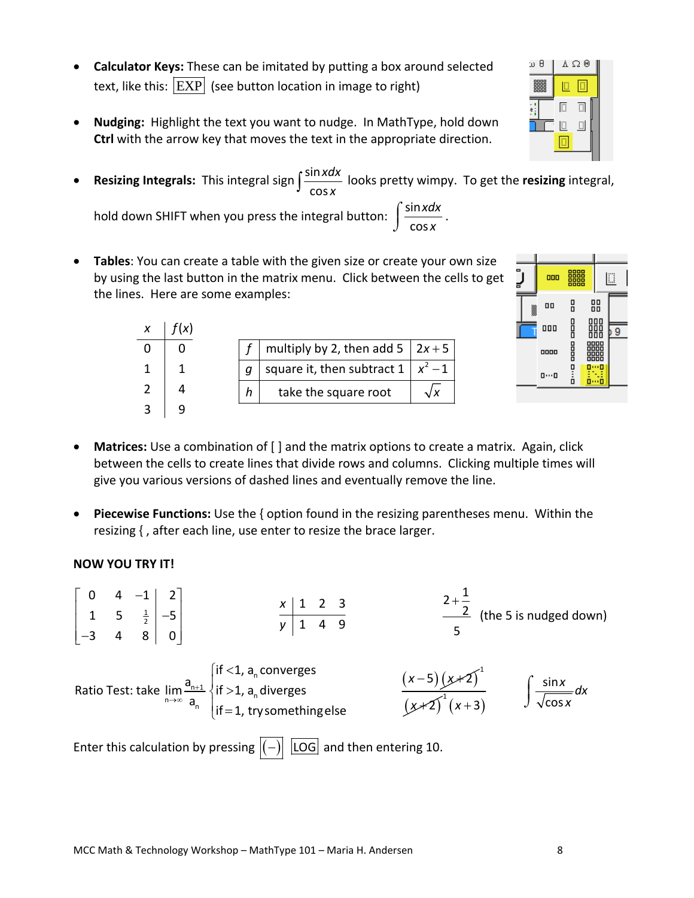- **Calculator Keys:** These can be imitated by putting a box around selected text, like this:  $\overline{\text{EXP}}$  (see button location in image to right)
- **Nudging:** Highlight the text you want to nudge. In MathType, hold down **Ctrl** with the arrow key that moves the text in the appropriate direction.
- **•** Resizing Integrals: This integral sign  $\int \frac{\sin x}{x}$ cos *f*  $\frac{\sin x dx}{\cos x}$  looks pretty wimpy. To get the **resizing** integral,

multiply by 2, then add 5  $2x+5$ square it, then subtract  $1 | x^2 - 1$ 

 $2x + 5$ −

 $2 + \frac{1}{2}$ 

+

hold down SHIFT when you press the integral button:  $\int \frac{\sin x}{1 + x^2}$ cos *xdx x*  $\int \frac{\sin x dx}{\cos x}$ .

 $(x)$ 

*x f x*

• **Tables**: You can create a table with the given size or create your own size by using the last button in the matrix menu. Click between the cells to get the lines. Here are some examples:

| $3 \mid 9$                                                                                                                                                                                                     |
|----------------------------------------------------------------------------------------------------------------------------------------------------------------------------------------------------------------|
| • Matrices: Use a combination of $\lceil \cdot \rceil$ and the matrix options to create a matrix. Again, click<br>between the cells to create lines that divide rows and columns. Clicking multiple times will |

take the square root

 $h$   $\vert$  take the square root  $\vert \hspace{0.1 cm} \sqrt{\varkappa}$ 

 $f \, \mid$  multiply by 2, then add 5  $\mid$  2x  $g \mid$  square it, then subtract 1  $\mid x$ 

 $\mid g \mid$  square it, then subtract 1  $\mid x^2$ 

give you various versions of dashed lines and eventually remove the line.

• **Piecewise Functions:** Use the { option found in the resizing parentheses menu. Within the resizing { , after each line, use enter to resize the brace larger.

### **NOW YOU TRY IT!**

 $0$  4  $-1$  2

 $\begin{bmatrix} 0 & 4 & -1 & 2 \end{bmatrix}$ 





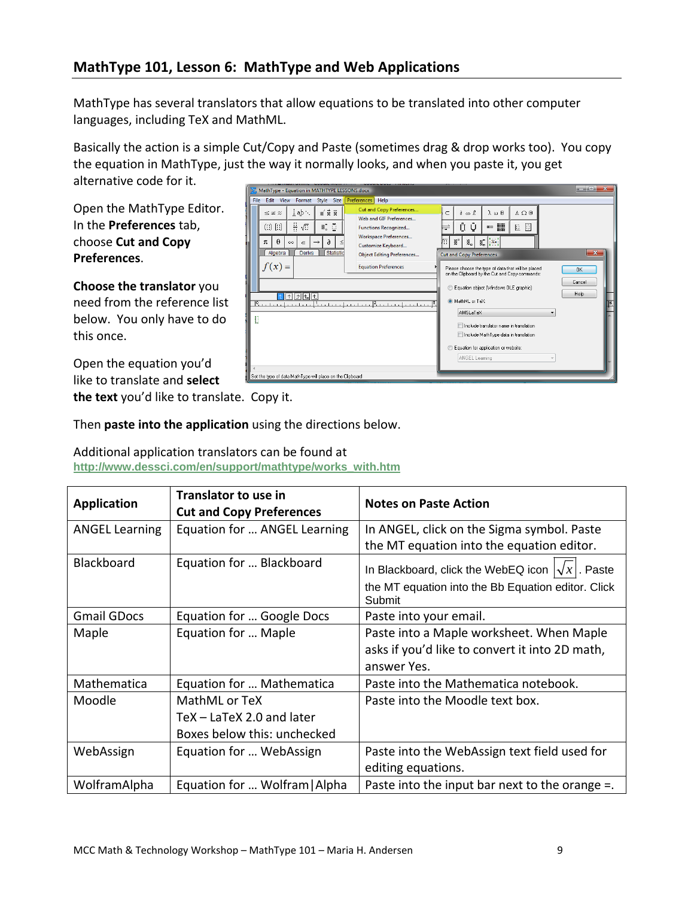# **MathType 101, Lesson 6: MathType and Web Applications**

MathType has several translators that allow equations to be translated into other computer languages, including TeX and MathML.

Basically the action is a simple Cut/Copy and Paste (sometimes drag & drop works too). You copy the equation in MathType, just the way it normally looks, and when you paste it, you get alternative code for it. lo Br

Open the MathType Editor. In the **Preferences** tab, choose **Cut and Copy Preferences**.

**Choose the translator** you need from the reference list below. You only have to do this once.

Open the equation you'd like to translate and **select**

MathType - Equation in MATHTYPE LESSONS.docx File Edit View Format Style Size ces Help **Cut and Copy Pref**  $\leq$   $z \approx$   $\left| \begin{array}{c} \downarrow$  ab  $\cdot \end{array} \right|$  $\vec{\bm{x}}$  i  $\vec{\bm{x}}$  $\partial \in \mathbb{R}$   $\lambda \omega \theta$   $\Delta \Omega \theta$  $\subset$ Web and GIF Preferences...  $\mathbb{I}$ . 0  $\Box$  $\mathbb{H}$   $\sqrt{\mathbb{I}}$ Functions Recognized... ⊨ Workspace Preferences...  $\pi \begin{vmatrix} \theta & \infty \end{vmatrix} \begin{vmatrix} \infty & \infty \end{vmatrix}$   $\begin{vmatrix} \infty & \infty \\ \infty & \infty \end{vmatrix}$  $\left|\mathbb{I}^{\bullet}\right|$  iii  $\left|\mathbb{I}^{\bullet}_{\bullet}\right|$  in  $\left|\mathbb{I}^{\bullet}_{\bullet}\right|$ Customize Keyboard... Algebra Derivs Statis Object Editing Preferences... Cut and Copy Preferences  $f(x) =$ **Equation Preferences** Please choose the type of data that will be placed<br>on the Clipboard by the Cut and Copy commands: OK Cancel C Equation object (Windows OLE graphic) Help  $111111$ O MathML or TeX:  $\overline{P}$ AMSLaTeX D Imclude translator name in translation Include MathType data in translation Equation for application or website ANGEL Learning et the type of data MathType will place on the Clipboard

**the text** you'd like to translate. Copy it.

Then **paste into the application** using the directions below.

Additional application translators can be found at **http://www.dessci.com/en/support/mathtype/works\_with.htm**

| <b>Application</b>    | <b>Translator to use in</b><br><b>Cut and Copy Preferences</b> | <b>Notes on Paste Action</b>                                 |
|-----------------------|----------------------------------------------------------------|--------------------------------------------------------------|
| <b>ANGEL Learning</b> | Equation for  ANGEL Learning                                   | In ANGEL, click on the Sigma symbol. Paste                   |
|                       |                                                                | the MT equation into the equation editor.                    |
| <b>Blackboard</b>     | Equation for  Blackboard                                       | In Blackboard, click the WebEQ icon $ \sqrt{x} $ . Paste     |
|                       |                                                                | the MT equation into the Bb Equation editor. Click<br>Submit |
| <b>Gmail GDocs</b>    | Equation for  Google Docs                                      | Paste into your email.                                       |
| Maple                 | Equation for  Maple                                            | Paste into a Maple worksheet. When Maple                     |
|                       |                                                                | asks if you'd like to convert it into 2D math,               |
|                       |                                                                | answer Yes.                                                  |
| Mathematica           | Equation for  Mathematica                                      | Paste into the Mathematica notebook.                         |
| Moodle                | MathML or TeX                                                  | Paste into the Moodle text box.                              |
|                       | TeX - LaTeX 2.0 and later                                      |                                                              |
|                       | Boxes below this: unchecked                                    |                                                              |
| WebAssign             | Equation for  WebAssign                                        | Paste into the WebAssign text field used for                 |
|                       |                                                                | editing equations.                                           |
| WolframAlpha          | Equation for  Wolfram   Alpha                                  | Paste into the input bar next to the orange $=$ .            |